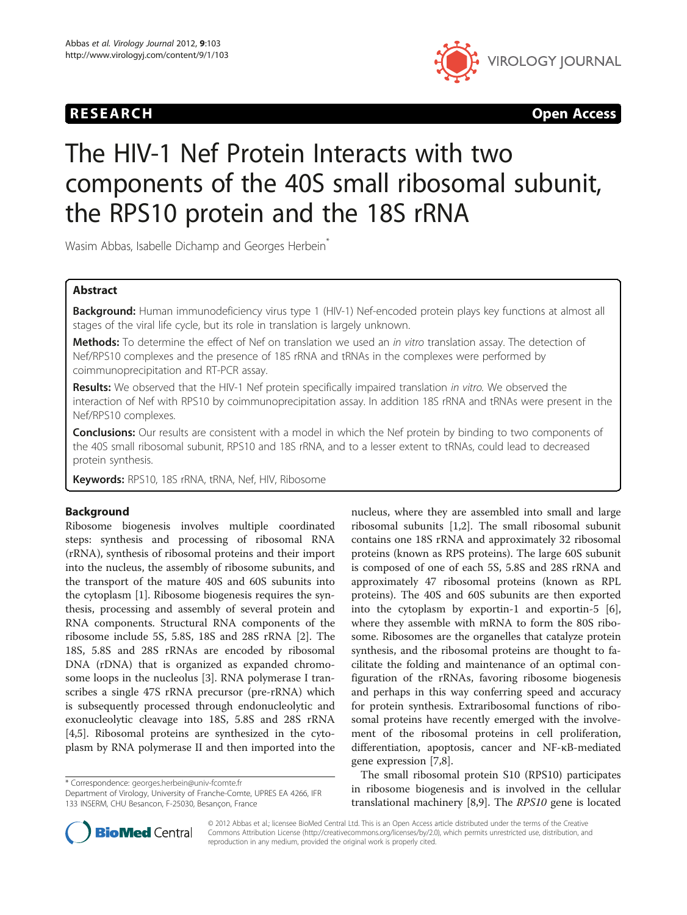



# The HIV-1 Nef Protein Interacts with two components of the 40S small ribosomal subunit, the RPS10 protein and the 18S rRNA

Wasim Abbas, Isabelle Dichamp and Georges Herbein<sup>\*</sup>

# Abstract

Background: Human immunodeficiency virus type 1 (HIV-1) Nef-encoded protein plays key functions at almost all stages of the viral life cycle, but its role in translation is largely unknown.

Methods: To determine the effect of Nef on translation we used an in vitro translation assay. The detection of Nef/RPS10 complexes and the presence of 18S rRNA and tRNAs in the complexes were performed by coimmunoprecipitation and RT-PCR assay.

Results: We observed that the HIV-1 Nef protein specifically impaired translation in vitro. We observed the interaction of Nef with RPS10 by coimmunoprecipitation assay. In addition 18S rRNA and tRNAs were present in the Nef/RPS10 complexes.

**Conclusions:** Our results are consistent with a model in which the Nef protein by binding to two components of the 40S small ribosomal subunit, RPS10 and 18S rRNA, and to a lesser extent to tRNAs, could lead to decreased protein synthesis.

Keywords: RPS10, 18S rRNA, tRNA, Nef, HIV, Ribosome

# Background

Ribosome biogenesis involves multiple coordinated steps: synthesis and processing of ribosomal RNA (rRNA), synthesis of ribosomal proteins and their import into the nucleus, the assembly of ribosome subunits, and the transport of the mature 40S and 60S subunits into the cytoplasm [\[1](#page-7-0)]. Ribosome biogenesis requires the synthesis, processing and assembly of several protein and RNA components. Structural RNA components of the ribosome include 5S, 5.8S, 18S and 28S rRNA [\[2](#page-7-0)]. The 18S, 5.8S and 28S rRNAs are encoded by ribosomal DNA (rDNA) that is organized as expanded chromosome loops in the nucleolus [[3\]](#page-7-0). RNA polymerase I transcribes a single 47S rRNA precursor (pre-rRNA) which is subsequently processed through endonucleolytic and exonucleolytic cleavage into 18S, 5.8S and 28S rRNA [[4,5\]](#page-7-0). Ribosomal proteins are synthesized in the cytoplasm by RNA polymerase II and then imported into the

\* Correspondence: [georges.herbein@univ-fcomte.fr](mailto:georges.herbein@univ-fcomte.fr)

nucleus, where they are assembled into small and large ribosomal subunits [[1,2\]](#page-7-0). The small ribosomal subunit contains one 18S rRNA and approximately 32 ribosomal proteins (known as RPS proteins). The large 60S subunit is composed of one of each 5S, 5.8S and 28S rRNA and approximately 47 ribosomal proteins (known as RPL proteins). The 40S and 60S subunits are then exported into the cytoplasm by exportin-1 and exportin-5 [\[6](#page-7-0)], where they assemble with mRNA to form the 80S ribosome. Ribosomes are the organelles that catalyze protein synthesis, and the ribosomal proteins are thought to facilitate the folding and maintenance of an optimal configuration of the rRNAs, favoring ribosome biogenesis and perhaps in this way conferring speed and accuracy for protein synthesis. Extraribosomal functions of ribosomal proteins have recently emerged with the involvement of the ribosomal proteins in cell proliferation, differentiation, apoptosis, cancer and NF-κB-mediated gene expression [[7,8\]](#page-7-0).

The small ribosomal protein S10 (RPS10) participates in ribosome biogenesis and is involved in the cellular translational machinery [[8,9\]](#page-7-0). The RPS10 gene is located



© 2012 Abbas et al.; licensee BioMed Central Ltd. This is an Open Access article distributed under the terms of the Creative Commons Attribution License [\(http://creativecommons.org/licenses/by/2.0\)](http://creativecommons.org/licenses/by/2.0), which permits unrestricted use, distribution, and reproduction in any medium, provided the original work is properly cited.

Department of Virology, University of Franche-Comte, UPRES EA 4266, IFR 133 INSERM, CHU Besancon, F-25030, Besançon, France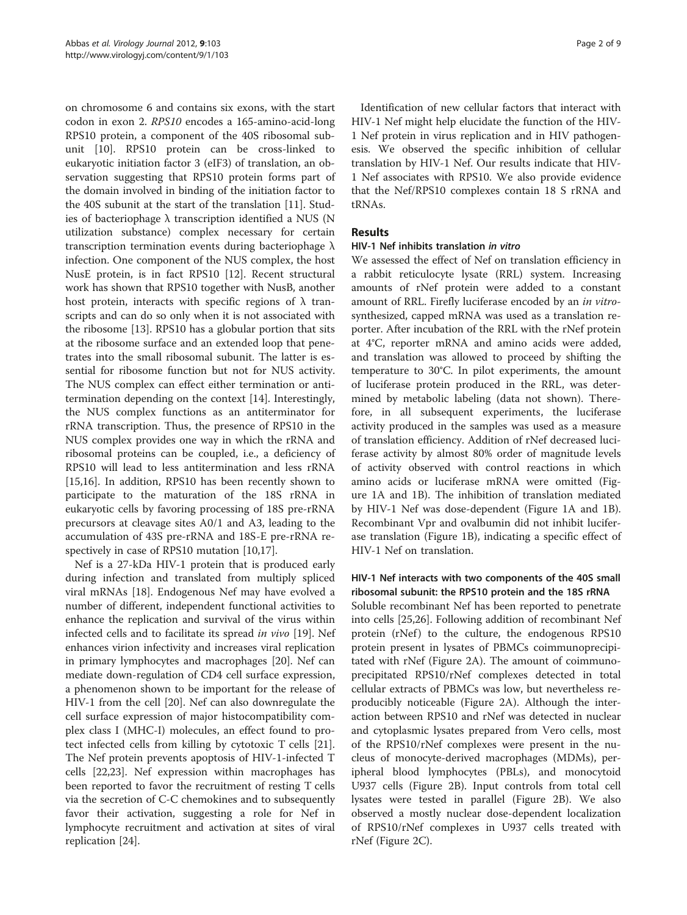on chromosome 6 and contains six exons, with the start codon in exon 2. RPS10 encodes a 165-amino-acid-long RPS10 protein, a component of the 40S ribosomal subunit [\[10\]](#page-7-0). RPS10 protein can be cross-linked to eukaryotic initiation factor 3 (eIF3) of translation, an observation suggesting that RPS10 protein forms part of the domain involved in binding of the initiation factor to the 40S subunit at the start of the translation [[11\]](#page-7-0). Studies of bacteriophage  $λ$  transcription identified a NUS (N utilization substance) complex necessary for certain transcription termination events during bacteriophage λ infection. One component of the NUS complex, the host NusE protein, is in fact RPS10 [\[12](#page-7-0)]. Recent structural work has shown that RPS10 together with NusB, another host protein, interacts with specific regions of  $\lambda$  transcripts and can do so only when it is not associated with the ribosome [[13\]](#page-7-0). RPS10 has a globular portion that sits at the ribosome surface and an extended loop that penetrates into the small ribosomal subunit. The latter is essential for ribosome function but not for NUS activity. The NUS complex can effect either termination or antitermination depending on the context [\[14](#page-7-0)]. Interestingly, the NUS complex functions as an antiterminator for rRNA transcription. Thus, the presence of RPS10 in the NUS complex provides one way in which the rRNA and ribosomal proteins can be coupled, i.e., a deficiency of RPS10 will lead to less antitermination and less rRNA [[15,16\]](#page-7-0). In addition, RPS10 has been recently shown to participate to the maturation of the 18S rRNA in eukaryotic cells by favoring processing of 18S pre-rRNA precursors at cleavage sites A0/1 and A3, leading to the accumulation of 43S pre-rRNA and 18S-E pre-rRNA respectively in case of RPS10 mutation [[10,17\]](#page-7-0).

Nef is a 27-kDa HIV-1 protein that is produced early during infection and translated from multiply spliced viral mRNAs [[18](#page-7-0)]. Endogenous Nef may have evolved a number of different, independent functional activities to enhance the replication and survival of the virus within infected cells and to facilitate its spread in vivo [\[19](#page-7-0)]. Nef enhances virion infectivity and increases viral replication in primary lymphocytes and macrophages [[20\]](#page-8-0). Nef can mediate down-regulation of CD4 cell surface expression, a phenomenon shown to be important for the release of HIV-1 from the cell [[20\]](#page-8-0). Nef can also downregulate the cell surface expression of major histocompatibility complex class I (MHC-I) molecules, an effect found to protect infected cells from killing by cytotoxic T cells [\[21](#page-8-0)]. The Nef protein prevents apoptosis of HIV-1-infected T cells [\[22,23](#page-8-0)]. Nef expression within macrophages has been reported to favor the recruitment of resting T cells via the secretion of C-C chemokines and to subsequently favor their activation, suggesting a role for Nef in lymphocyte recruitment and activation at sites of viral replication [\[24](#page-8-0)].

Identification of new cellular factors that interact with HIV-1 Nef might help elucidate the function of the HIV-1 Nef protein in virus replication and in HIV pathogenesis. We observed the specific inhibition of cellular translation by HIV-1 Nef. Our results indicate that HIV-1 Nef associates with RPS10. We also provide evidence that the Nef/RPS10 complexes contain 18 S rRNA and tRNAs.

# Results

# HIV-1 Nef inhibits translation in vitro

We assessed the effect of Nef on translation efficiency in a rabbit reticulocyte lysate (RRL) system. Increasing amounts of rNef protein were added to a constant amount of RRL. Firefly luciferase encoded by an in vitrosynthesized, capped mRNA was used as a translation reporter. After incubation of the RRL with the rNef protein at 4°C, reporter mRNA and amino acids were added, and translation was allowed to proceed by shifting the temperature to 30°C. In pilot experiments, the amount of luciferase protein produced in the RRL, was determined by metabolic labeling (data not shown). Therefore, in all subsequent experiments, the luciferase activity produced in the samples was used as a measure of translation efficiency. Addition of rNef decreased luciferase activity by almost 80% order of magnitude levels of activity observed with control reactions in which amino acids or luciferase mRNA were omitted (Figure [1A](#page-2-0) and [1B\)](#page-2-0). The inhibition of translation mediated by HIV-1 Nef was dose-dependent (Figure [1A](#page-2-0) and [1B](#page-2-0)). Recombinant Vpr and ovalbumin did not inhibit luciferase translation (Figure [1B\)](#page-2-0), indicating a specific effect of HIV-1 Nef on translation.

# HIV-1 Nef interacts with two components of the 40S small ribosomal subunit: the RPS10 protein and the 18S rRNA

Soluble recombinant Nef has been reported to penetrate into cells [[25,26\]](#page-8-0). Following addition of recombinant Nef protein (rNef) to the culture, the endogenous RPS10 protein present in lysates of PBMCs coimmunoprecipitated with rNef (Figure [2A\)](#page-3-0). The amount of coimmunoprecipitated RPS10/rNef complexes detected in total cellular extracts of PBMCs was low, but nevertheless reproducibly noticeable (Figure [2A\)](#page-3-0). Although the interaction between RPS10 and rNef was detected in nuclear and cytoplasmic lysates prepared from Vero cells, most of the RPS10/rNef complexes were present in the nucleus of monocyte-derived macrophages (MDMs), peripheral blood lymphocytes (PBLs), and monocytoid U937 cells (Figure [2B\)](#page-3-0). Input controls from total cell lysates were tested in parallel (Figure [2B](#page-3-0)). We also observed a mostly nuclear dose-dependent localization of RPS10/rNef complexes in U937 cells treated with rNef (Figure [2C\)](#page-3-0).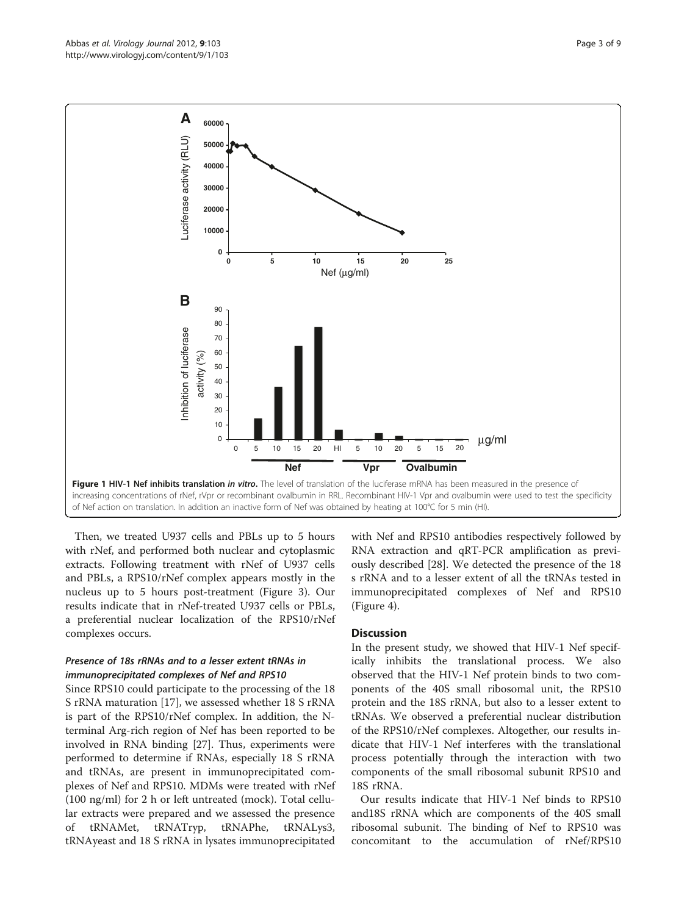<span id="page-2-0"></span>

Then, we treated U937 cells and PBLs up to 5 hours with rNef, and performed both nuclear and cytoplasmic extracts. Following treatment with rNef of U937 cells and PBLs, a RPS10/rNef complex appears mostly in the nucleus up to 5 hours post-treatment (Figure [3\)](#page-4-0). Our results indicate that in rNef-treated U937 cells or PBLs, a preferential nuclear localization of the RPS10/rNef complexes occurs.

## Presence of 18s rRNAs and to a lesser extent tRNAs in immunoprecipitated complexes of Nef and RPS10

Since RPS10 could participate to the processing of the 18 S rRNA maturation [\[17](#page-7-0)], we assessed whether 18 S rRNA is part of the RPS10/rNef complex. In addition, the Nterminal Arg-rich region of Nef has been reported to be involved in RNA binding [\[27](#page-8-0)]. Thus, experiments were performed to determine if RNAs, especially 18 S rRNA and tRNAs, are present in immunoprecipitated complexes of Nef and RPS10. MDMs were treated with rNef (100 ng/ml) for 2 h or left untreated (mock). Total cellular extracts were prepared and we assessed the presence of tRNAMet, tRNATryp, tRNAPhe, tRNALys3, tRNAyeast and 18 S rRNA in lysates immunoprecipitated

with Nef and RPS10 antibodies respectively followed by RNA extraction and qRT-PCR amplification as previously described [[28\]](#page-8-0). We detected the presence of the 18 s rRNA and to a lesser extent of all the tRNAs tested in immunoprecipitated complexes of Nef and RPS10 (Figure [4](#page-5-0)).

### **Discussion**

In the present study, we showed that HIV-1 Nef specifically inhibits the translational process. We also observed that the HIV-1 Nef protein binds to two components of the 40S small ribosomal unit, the RPS10 protein and the 18S rRNA, but also to a lesser extent to tRNAs. We observed a preferential nuclear distribution of the RPS10/rNef complexes. Altogether, our results indicate that HIV-1 Nef interferes with the translational process potentially through the interaction with two components of the small ribosomal subunit RPS10 and 18S rRNA.

Our results indicate that HIV-1 Nef binds to RPS10 and18S rRNA which are components of the 40S small ribosomal subunit. The binding of Nef to RPS10 was concomitant to the accumulation of rNef/RPS10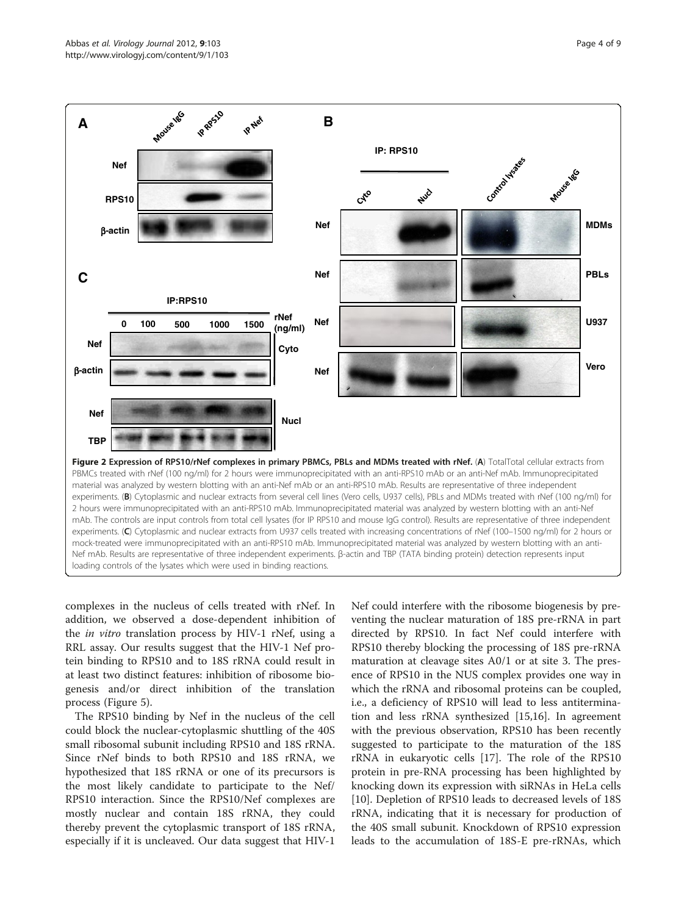<span id="page-3-0"></span>

complexes in the nucleus of cells treated with rNef. In addition, we observed a dose-dependent inhibition of the in vitro translation process by HIV-1 rNef, using a RRL assay. Our results suggest that the HIV-1 Nef protein binding to RPS10 and to 18S rRNA could result in at least two distinct features: inhibition of ribosome biogenesis and/or direct inhibition of the translation process (Figure [5\)](#page-6-0).

The RPS10 binding by Nef in the nucleus of the cell could block the nuclear-cytoplasmic shuttling of the 40S small ribosomal subunit including RPS10 and 18S rRNA. Since rNef binds to both RPS10 and 18S rRNA, we hypothesized that 18S rRNA or one of its precursors is the most likely candidate to participate to the Nef/ RPS10 interaction. Since the RPS10/Nef complexes are mostly nuclear and contain 18S rRNA, they could thereby prevent the cytoplasmic transport of 18S rRNA, especially if it is uncleaved. Our data suggest that HIV-1

Nef could interfere with the ribosome biogenesis by preventing the nuclear maturation of 18S pre-rRNA in part directed by RPS10. In fact Nef could interfere with RPS10 thereby blocking the processing of 18S pre-rRNA maturation at cleavage sites A0/1 or at site 3. The presence of RPS10 in the NUS complex provides one way in which the rRNA and ribosomal proteins can be coupled, i.e., a deficiency of RPS10 will lead to less antitermination and less rRNA synthesized [[15,16\]](#page-7-0). In agreement with the previous observation, RPS10 has been recently suggested to participate to the maturation of the 18S rRNA in eukaryotic cells [[17\]](#page-7-0). The role of the RPS10 protein in pre-RNA processing has been highlighted by knocking down its expression with siRNAs in HeLa cells [[10\]](#page-7-0). Depletion of RPS10 leads to decreased levels of 18S rRNA, indicating that it is necessary for production of the 40S small subunit. Knockdown of RPS10 expression leads to the accumulation of 18S-E pre-rRNAs, which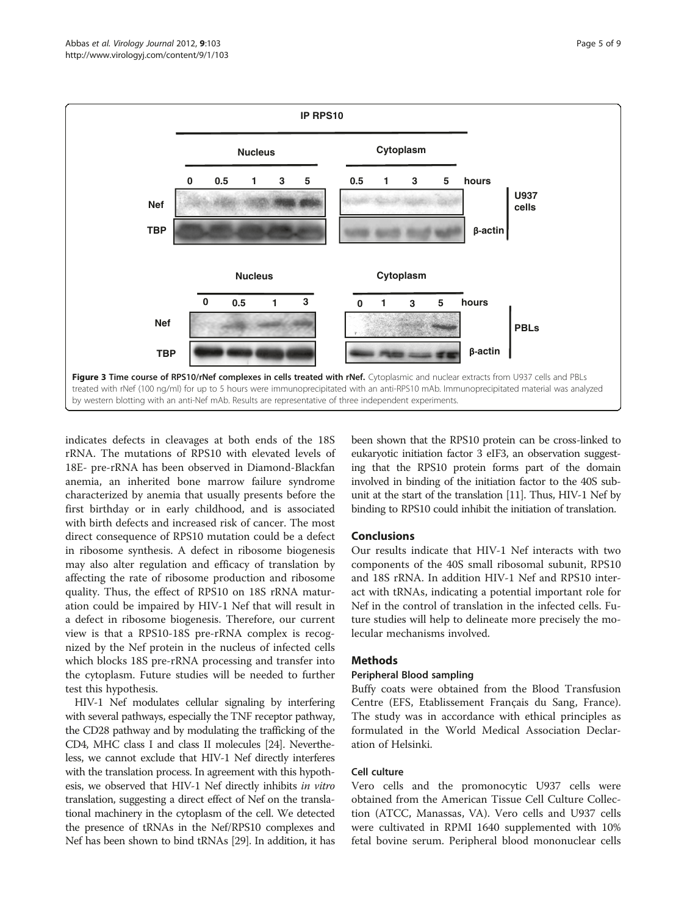

<span id="page-4-0"></span>

indicates defects in cleavages at both ends of the 18S rRNA. The mutations of RPS10 with elevated levels of 18E- pre-rRNA has been observed in Diamond-Blackfan anemia, an inherited bone marrow failure syndrome characterized by anemia that usually presents before the first birthday or in early childhood, and is associated with birth defects and increased risk of cancer. The most direct consequence of RPS10 mutation could be a defect in ribosome synthesis. A defect in ribosome biogenesis may also alter regulation and efficacy of translation by affecting the rate of ribosome production and ribosome quality. Thus, the effect of RPS10 on 18S rRNA maturation could be impaired by HIV-1 Nef that will result in a defect in ribosome biogenesis. Therefore, our current view is that a RPS10-18S pre-rRNA complex is recognized by the Nef protein in the nucleus of infected cells which blocks 18S pre-rRNA processing and transfer into the cytoplasm. Future studies will be needed to further test this hypothesis.

HIV-1 Nef modulates cellular signaling by interfering with several pathways, especially the TNF receptor pathway, the CD28 pathway and by modulating the trafficking of the CD4, MHC class I and class II molecules [[24](#page-8-0)]. Nevertheless, we cannot exclude that HIV-1 Nef directly interferes with the translation process. In agreement with this hypothesis, we observed that HIV-1 Nef directly inhibits in vitro translation, suggesting a direct effect of Nef on the translational machinery in the cytoplasm of the cell. We detected the presence of tRNAs in the Nef/RPS10 complexes and Nef has been shown to bind tRNAs [[29\]](#page-8-0). In addition, it has been shown that the RPS10 protein can be cross-linked to eukaryotic initiation factor 3 eIF3, an observation suggesting that the RPS10 protein forms part of the domain involved in binding of the initiation factor to the 40S subunit at the start of the translation [\[11](#page-7-0)]. Thus, HIV-1 Nef by binding to RPS10 could inhibit the initiation of translation.

# Conclusions

Our results indicate that HIV-1 Nef interacts with two components of the 40S small ribosomal subunit, RPS10 and 18S rRNA. In addition HIV-1 Nef and RPS10 interact with tRNAs, indicating a potential important role for Nef in the control of translation in the infected cells. Future studies will help to delineate more precisely the molecular mechanisms involved.

## Methods

#### Peripheral Blood sampling

Buffy coats were obtained from the Blood Transfusion Centre (EFS, Etablissement Français du Sang, France). The study was in accordance with ethical principles as formulated in the World Medical Association Declaration of Helsinki.

## Cell culture

Vero cells and the promonocytic U937 cells were obtained from the American Tissue Cell Culture Collection (ATCC, Manassas, VA). Vero cells and U937 cells were cultivated in RPMI 1640 supplemented with 10% fetal bovine serum. Peripheral blood mononuclear cells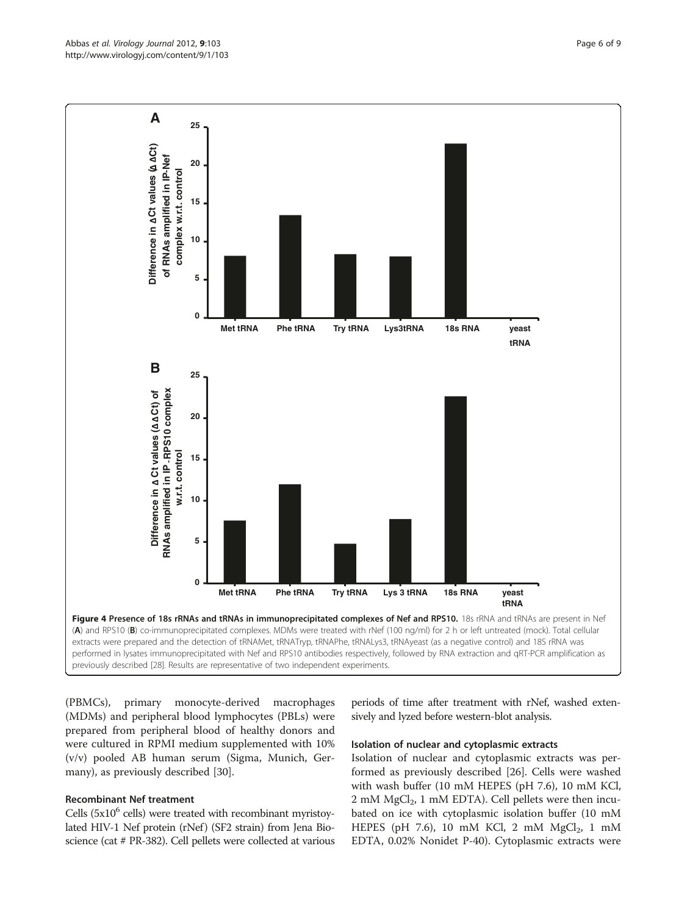(PBMCs), primary monocyte-derived macrophages (MDMs) and peripheral blood lymphocytes (PBLs) were prepared from peripheral blood of healthy donors and were cultured in RPMI medium supplemented with 10% (v/v) pooled AB human serum (Sigma, Munich, Germany), as previously described [[30\]](#page-8-0).

#### Recombinant Nef treatment

Cells ( $5x10^6$  cells) were treated with recombinant myristoylated HIV-1 Nef protein (rNef) (SF2 strain) from Jena Bioscience (cat # PR-382). Cell pellets were collected at various periods of time after treatment with rNef, washed extensively and lyzed before western-blot analysis.

## Isolation of nuclear and cytoplasmic extracts

Isolation of nuclear and cytoplasmic extracts was performed as previously described [\[26\]](#page-8-0). Cells were washed with wash buffer (10 mM HEPES (pH 7.6), 10 mM KCl,  $2 \text{ mM } MgCl<sub>2</sub>$ , 1 mM EDTA). Cell pellets were then incubated on ice with cytoplasmic isolation buffer (10 mM HEPES (pH 7.6), 10 mM KCl, 2 mM  $MgCl<sub>2</sub>$ , 1 mM EDTA, 0.02% Nonidet P-40). Cytoplasmic extracts were

<span id="page-5-0"></span>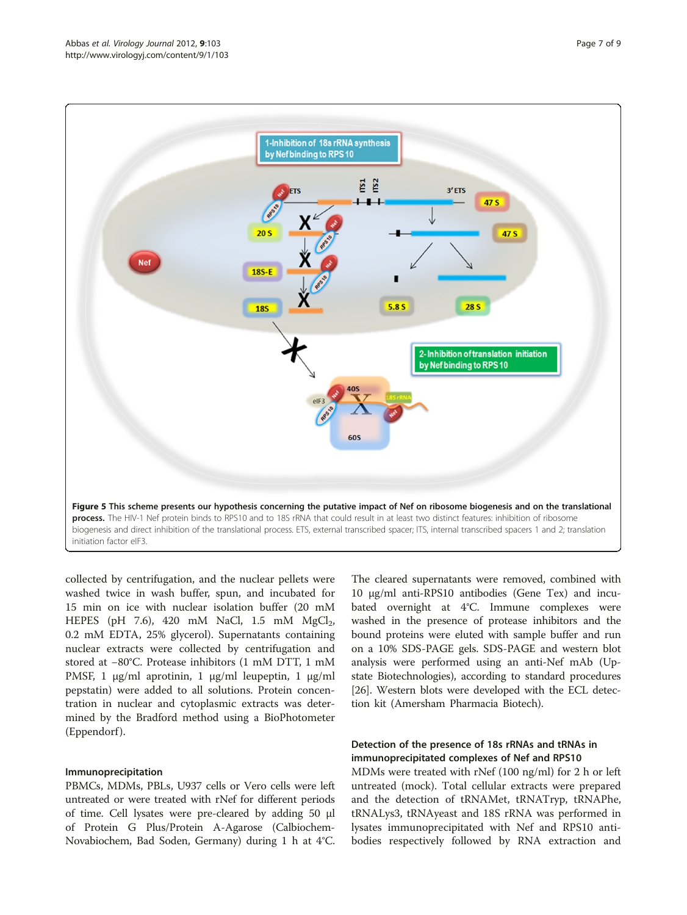<span id="page-6-0"></span>

collected by centrifugation, and the nuclear pellets were washed twice in wash buffer, spun, and incubated for 15 min on ice with nuclear isolation buffer (20 mM HEPES (pH 7.6), 420 mM NaCl, 1.5 mM  $MgCl<sub>2</sub>$ , 0.2 mM EDTA, 25% glycerol). Supernatants containing nuclear extracts were collected by centrifugation and stored at −80°C. Protease inhibitors (1 mM DTT, 1 mM PMSF, 1 μg/ml aprotinin, 1 μg/ml leupeptin, 1 μg/ml pepstatin) were added to all solutions. Protein concentration in nuclear and cytoplasmic extracts was determined by the Bradford method using a BioPhotometer (Eppendorf).

#### Immunoprecipitation

PBMCs, MDMs, PBLs, U937 cells or Vero cells were left untreated or were treated with rNef for different periods of time. Cell lysates were pre-cleared by adding 50 μl of Protein G Plus/Protein A-Agarose (Calbiochem-Novabiochem, Bad Soden, Germany) during 1 h at 4°C. The cleared supernatants were removed, combined with 10 μg/ml anti-RPS10 antibodies (Gene Tex) and incubated overnight at 4°C. Immune complexes were washed in the presence of protease inhibitors and the bound proteins were eluted with sample buffer and run on a 10% SDS-PAGE gels. SDS-PAGE and western blot analysis were performed using an anti-Nef mAb (Upstate Biotechnologies), according to standard procedures [[26](#page-8-0)]. Western blots were developed with the ECL detection kit (Amersham Pharmacia Biotech).

# Detection of the presence of 18s rRNAs and tRNAs in immunoprecipitated complexes of Nef and RPS10

MDMs were treated with rNef (100 ng/ml) for 2 h or left untreated (mock). Total cellular extracts were prepared and the detection of tRNAMet, tRNATryp, tRNAPhe, tRNALys3, tRNAyeast and 18S rRNA was performed in lysates immunoprecipitated with Nef and RPS10 antibodies respectively followed by RNA extraction and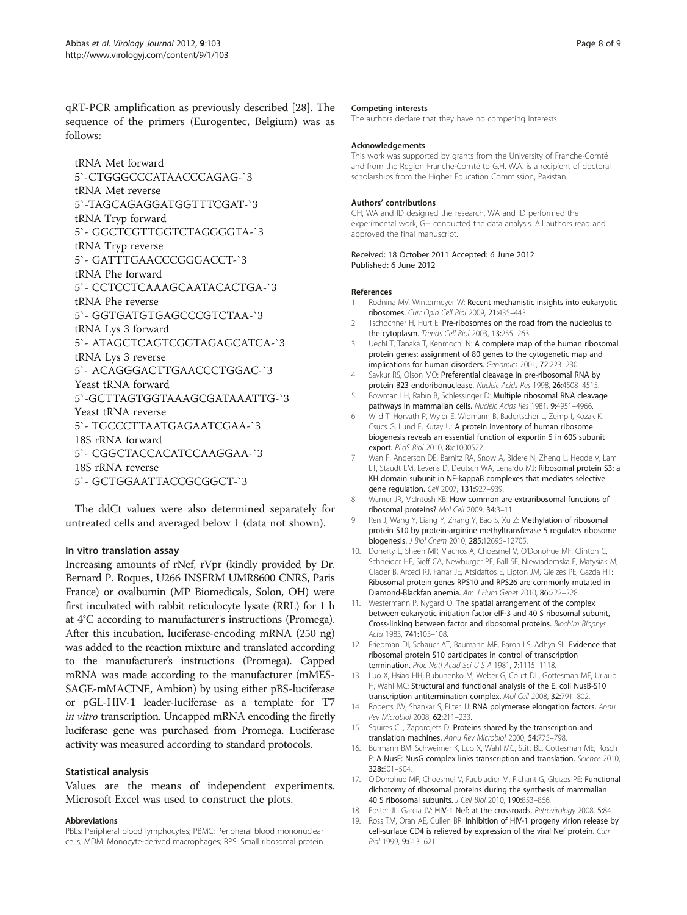<span id="page-7-0"></span>qRT-PCR amplification as previously described [\[28](#page-8-0)]. The sequence of the primers (Eurogentec, Belgium) was as follows:

tRNA Met forward 5`-CTGGGCCCATAACCCAGAG-`3 tRNA Met reverse 5`-TAGCAGAGGATGGTTTCGAT-`3 tRNA Tryp forward 5`- GGCTCGTTGGTCTAGGGGTA-`3 tRNA Tryp reverse 5`- GATTTGAACCCGGGACCT-`3 tRNA Phe forward 5`- CCTCCTCAAAGCAATACACTGA-`3 tRNA Phe reverse 5`- GGTGATGTGAGCCCGTCTAA-`3 tRNA Lys 3 forward 5`- ATAGCTCAGTCGGTAGAGCATCA-`3 tRNA Lys 3 reverse 5`- ACAGGGACTTGAACCCTGGAC-`3 Yeast tRNA forward 5`-GCTTAGTGGTAAAGCGATAAATTG-`3 Yeast tRNA reverse 5`- TGCCCTTAATGAGAATCGAA-`3 18S rRNA forward 5`- CGGCTACCACATCCAAGGAA-`3 18S rRNA reverse 5`- GCTGGAATTACCGCGGCT-`3

The ddCt values were also determined separately for untreated cells and averaged below 1 (data not shown).

## In vitro translation assay

Increasing amounts of rNef, rVpr (kindly provided by Dr. Bernard P. Roques, U266 INSERM UMR8600 CNRS, Paris France) or ovalbumin (MP Biomedicals, Solon, OH) were first incubated with rabbit reticulocyte lysate (RRL) for 1 h at 4°C according to manufacturer's instructions (Promega). After this incubation, luciferase-encoding mRNA (250 ng) was added to the reaction mixture and translated according to the manufacturer's instructions (Promega). Capped mRNA was made according to the manufacturer (mMES-SAGE-mMACINE, Ambion) by using either pBS-luciferase or pGL-HIV-1 leader-luciferase as a template for T7 in vitro transcription. Uncapped mRNA encoding the firefly luciferase gene was purchased from Promega. Luciferase activity was measured according to standard protocols.

#### Statistical analysis

Values are the means of independent experiments. Microsoft Excel was used to construct the plots.

#### Abbreviations

PBLs: Peripheral blood lymphocytes; PBMC: Peripheral blood mononuclear cells; MDM: Monocyte-derived macrophages; RPS: Small ribosomal protein.

#### Competing interests

The authors declare that they have no competing interests.

#### Acknowledgements

This work was supported by grants from the University of Franche-Comté and from the Region Franche-Comté to G.H. W.A. is a recipient of doctoral scholarships from the Higher Education Commission, Pakistan.

#### Authors' contributions

GH, WA and ID designed the research, WA and ID performed the experimental work, GH conducted the data analysis. All authors read and approved the final manuscript.

Received: 18 October 2011 Accepted: 6 June 2012 Published: 6 June 2012

#### References

- 1. Rodnina MV, Wintermeyer W: Recent mechanistic insights into eukaryotic ribosomes. Curr Opin Cell Biol 2009, 21:435–443.
- 2. Tschochner H, Hurt E: Pre-ribosomes on the road from the nucleolus to the cytoplasm. Trends Cell Biol 2003, 13:255–263.
- 3. Uechi T, Tanaka T, Kenmochi N: A complete map of the human ribosomal protein genes: assignment of 80 genes to the cytogenetic map and implications for human disorders. Genomics 2001, 72:223–230.
- 4. Savkur RS, Olson MO: Preferential cleavage in pre-ribosomal RNA by protein B23 endoribonuclease. Nucleic Acids Res 1998, 26:4508–4515.
- 5. Bowman LH, Rabin B, Schlessinger D: Multiple ribosomal RNA cleavage pathways in mammalian cells. Nucleic Acids Res 1981, 9:4951–4966.
- 6. Wild T, Horvath P, Wyler E, Widmann B, Badertscher L, Zemp I, Kozak K, Csucs G, Lund E, Kutay U: A protein inventory of human ribosome biogenesis reveals an essential function of exportin 5 in 60S subunit export. PLoS Biol 2010, 8:e1000522.
- 7. Wan F, Anderson DE, Barnitz RA, Snow A, Bidere N, Zheng L, Hegde V, Lam LT, Staudt LM, Levens D, Deutsch WA, Lenardo MJ: Ribosomal protein S3: a KH domain subunit in NF-kappaB complexes that mediates selective gene regulation. Cell 2007, 131:927–939.
- 8. Warner JR, McIntosh KB: How common are extraribosomal functions of ribosomal proteins? Mol Cell 2009, 34:3–11.
- 9. Ren J, Wang Y, Liang Y, Zhang Y, Bao S, Xu Z: Methylation of ribosomal protein S10 by protein-arginine methyltransferase 5 regulates ribosome biogenesis. J Biol Chem 2010, 285:12695–12705.
- 10. Doherty L, Sheen MR, Vlachos A, Choesmel V, O'Donohue MF, Clinton C, Schneider HE, Sieff CA, Newburger PE, Ball SE, Niewiadomska E, Matysiak M, Glader B, Arceci RJ, Farrar JE, Atsidaftos E, Lipton JM, Gleizes PE, Gazda HT: Ribosomal protein genes RPS10 and RPS26 are commonly mutated in Diamond-Blackfan anemia. Am J Hum Genet 2010, 86:222–228.
- 11. Westermann P, Nygard O: The spatial arrangement of the complex between eukaryotic initiation factor eIF-3 and 40 S ribosomal subunit, Cross-linking between factor and ribosomal proteins. Biochim Biophys Acta 1983, 741:103–108.
- 12. Friedman DI, Schauer AT, Baumann MR, Baron LS, Adhya SL: Evidence that ribosomal protein S10 participates in control of transcription termination. Proc Natl Acad Sci U S A 1981, 7:1115-1118.
- 13. Luo X, Hsiao HH, Bubunenko M, Weber G, Court DL, Gottesman ME, Urlaub H, Wahl MC: Structural and functional analysis of the E. coli NusB-S10 transcription antitermination complex. Mol Cell 2008, 32:791–802.
- 14. Roberts JW, Shankar S, Filter JJ: RNA polymerase elongation factors. Annu Rev Microbiol 2008, 62:211–233.
- 15. Squires CL, Zaporojets D: Proteins shared by the transcription and translation machines. Annu Rev Microbiol 2000, 54:775–798.
- 16. Burmann BM, Schweimer K, Luo X, Wahl MC, Stitt BL, Gottesman ME, Rosch P: A NusE: NusG complex links transcription and translation. Science 2010, 328:501–504.
- 17. O'Donohue MF, Choesmel V, Faubladier M, Fichant G, Gleizes PE: Functional dichotomy of ribosomal proteins during the synthesis of mammalian 40 S ribosomal subunits. J Cell Biol 2010, 190:853–866.
- 18. Foster JL, Garcia JV: HIV-1 Nef: at the crossroads. Retrovirology 2008, 5:84.
- 19. Ross TM, Oran AE, Cullen BR: Inhibition of HIV-1 progeny virion release by cell-surface CD4 is relieved by expression of the viral Nef protein. Curr Biol 1999, 9:613–621.